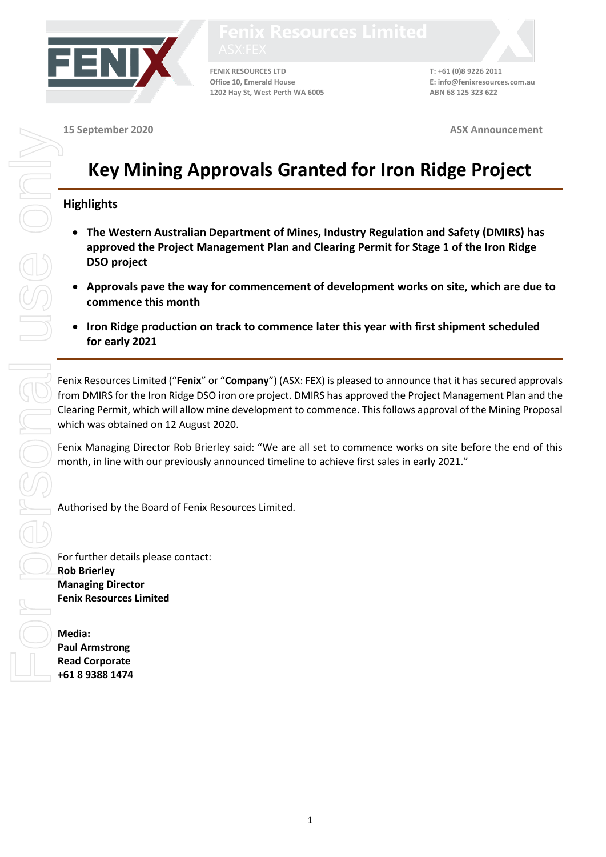

**FENIX RESOURCES LTD T: +61 (0)8 9226 2011 Office 10, Emerald House E: info@fenixresources.com.au 1202 Hay St, West Perth WA 6005 ABN 68 125 323 622**

**15 September 2020 ASX Announcement**

## **Key Mining Approvals Granted for Iron Ridge Project**

## **Highlights**

- **The Western Australian Department of Mines, Industry Regulation and Safety (DMIRS) has approved the Project Management Plan and Clearing Permit for Stage 1 of the Iron Ridge DSO project**
- **Approvals pave the way for commencement of development works on site, which are due to commence this month**
- **Iron Ridge production on track to commence later this year with first shipment scheduled for early 2021**

Fenix Resources Limited ("**Fenix**" or "**Company**") (ASX: FEX) is pleased to announce that it has secured approvals from DMIRS for the Iron Ridge DSO iron ore project. DMIRS has approved the Project Management Plan and the Clearing Permit, which will allow mine development to commence. This follows approval of the Mining Proposal which was obtained on 12 August 2020.

Fenix Managing Director Rob Brierley said: "We are all set to commence works on site before the end of this month, in line with our previously announced timeline to achieve first sales in early 2021."

Authorised by the Board of Fenix Resources Limited.

For further details please contact: **Rob Brierley Managing Director Fenix Resources Limited**

**Media: Paul Armstrong Read Corporate +61 8 9388 1474**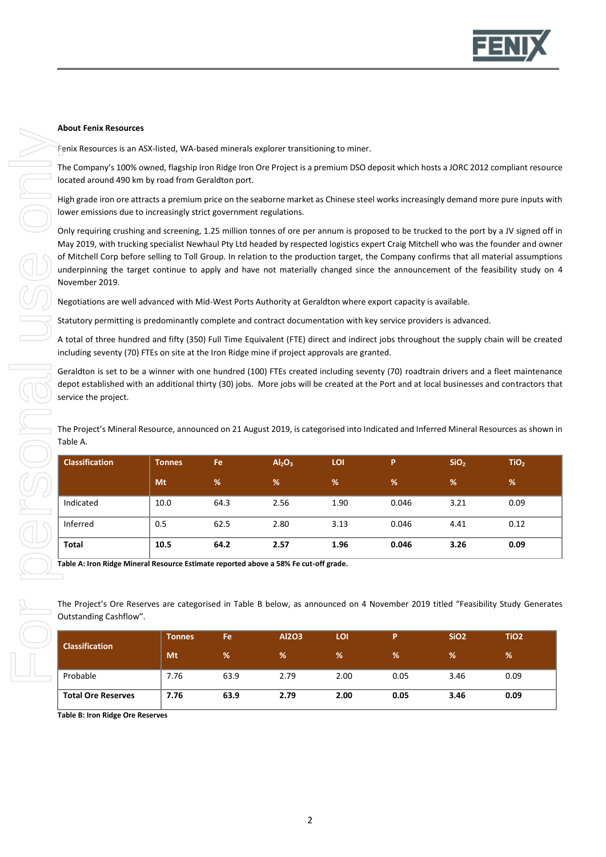

## **About Fenix Resources**

Fenix Resources is an ASX-listed, WA-based minerals explorer transitioning to miner.

The Company's 100% owned, flagship Iron Ridge Iron Ore Project is a premium DSO deposit which hosts a JORC 2012 compliant resource located around 490 km by road from Geraldton port.

High grade iron ore attracts a premium price on the seaborne market as Chinese steel works increasingly demand more pure inputs with lower emissions due to increasingly strict government regulations.

Only requiring crushing and screening, 1.25 million tonnes of ore per annum is proposed to be trucked to the port by a JV signed off in May 2019, with trucking specialist Newhaul Pty Ltd headed by respected logistics expert Craig Mitchell who was the founder and owner of Mitchell Corp before selling to Toll Group. In relation to the production target, the Company confirms that all material assumptions underpinning the target continue to apply and have not materially changed since the announcement of the feasibility study on 4 November 2019.

Negotiations are well advanced with Mid-West Ports Authority at Geraldton where export capacity is available.

Statutory permitting is predominantly complete and contract documentation with key service providers is advanced.

A total of three hundred and fifty (350) Full Time Equivalent (FTE) direct and indirect jobs throughout the supply chain will be created including seventy (70) FTEs on site at the Iron Ridge mine if project approvals are granted.

Geraldton is set to be a winner with one hundred (100) FTEs created including seventy (70) roadtrain drivers and a fleet maintenance depot established with an additional thirty (30) jobs. More jobs will be created at the Port and at local businesses and contractors that service the project.

The Project's Mineral Resource, announced on 21 August 2019, is categorised into Indicated and Inferred Mineral Resources as shown in Table A.

| <b>Classification</b> | <b>Tonnes</b> | Fe   | Al <sub>2</sub> O <sub>3</sub> | LOI  | P     | SiO <sub>2</sub> | TiO <sub>2</sub> |
|-----------------------|---------------|------|--------------------------------|------|-------|------------------|------------------|
|                       | Mt            | %    | %                              | %    | %     | %                | %                |
| Indicated             | 10.0          | 64.3 | 2.56                           | 1.90 | 0.046 | 3.21             | 0.09             |
| Inferred              | 0.5           | 62.5 | 2.80                           | 3.13 | 0.046 | 4.41             | 0.12             |
| <b>Total</b>          | 10.5          | 64.2 | 2.57                           | 1.96 | 0.046 | 3.26             | 0.09             |

**Table A: Iron Ridge Mineral Resource Estimate reported above a 58% Fe cut-off grade.**

The Project's Ore Reserves are categorised in Table B below, as announced on 4 November 2019 titled "Feasibility Study Generates Outstanding Cashflow".

| <b>Classification</b>     | <b>Tonnes</b> | Fe   | <b>Al2O3</b> | LOI  | D    | SiO <sub>2</sub> | TiO <sub>2</sub> |
|---------------------------|---------------|------|--------------|------|------|------------------|------------------|
|                           | Mt            | %    | %            | %    | %    | %                | %                |
| Probable                  | 7.76          | 63.9 | 2.79         | 2.00 | 0.05 | 3.46             | 0.09             |
| <b>Total Ore Reserves</b> | 7.76          | 63.9 | 2.79         | 2.00 | 0.05 | 3.46             | 0.09             |